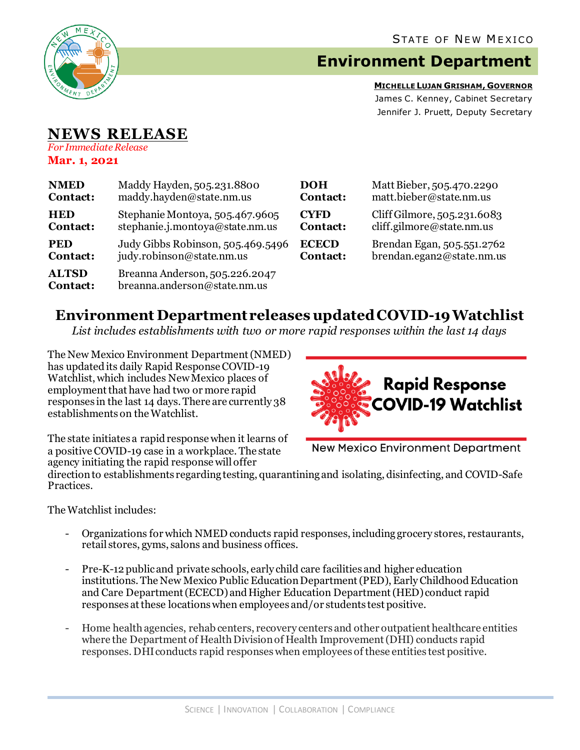

## **Environment Department**

**MICHELLE LUJAN GRISHAM, GOVERNOR** James C. Kenney, Cabinet Secretary Jennifer J. Pruett, Deputy Secretary

## **NEWS RELEASE**

*For Immediate Release* **Mar. 1, 2021**

| <b>NMED</b>                     | Maddy Hayden, 505.231.8800                                     | <b>DOH</b>      | Matt Bieber, 505.470.2290   |
|---------------------------------|----------------------------------------------------------------|-----------------|-----------------------------|
| Contact:                        | maddy.hayden@state.nm.us                                       | Contact:        | matt.bieber@state.nm.us     |
| <b>HED</b>                      | Stephanie Montoya, 505.467.9605                                | <b>CYFD</b>     | Cliff Gilmore, 505.231.6083 |
| Contact:                        | stephanie.j.montoya@state.nm.us                                | Contact:        | cliff.gilmore@state.nm.us   |
| <b>PED</b>                      | Judy Gibbs Robinson, 505.469.5496                              | <b>ECECD</b>    | Brendan Egan, 505.551.2762  |
| Contact:                        | judy.robinson@state.nm.us                                      | <b>Contact:</b> | brendan.egan2@state.nm.us   |
| <b>ALTSD</b><br><b>Contact:</b> | Breanna Anderson, 505.226.2047<br>breanna.anderson@state.nm.us |                 |                             |

## **Environment Department releases updated COVID-19 Watchlist**

*List includes establishments with two or more rapid responses within the last 14 days*

The New Mexico Environment Department(NMED) has updated its daily Rapid Response COVID-19 Watchlist, which includes New Mexico places of employment that have had two or more rapid responses in the last 14 days. There are currently 38 establishments on the Watchlist.



The state initiates a rapid response when it learns of a positive COVID-19 case in a workplace. The state agency initiating the rapid response will offer

**New Mexico Environment Department** 

direction to establishments regarding testing, quarantining and isolating, disinfecting, and COVID-Safe Practices.

The Watchlist includes:

- Organizations for which NMED conducts rapid responses, including grocery stores, restaurants, retail stores, gyms, salons and business offices.
- Pre-K-12 publicand private schools, early child care facilities and higher education institutions. The New Mexico Public Education Department (PED), Early Childhood Education and Care Department (ECECD) and Higher Education Department (HED) conduct rapid responses at these locations when employees and/or students test positive.
- Home health agencies, rehab centers, recovery centers and other outpatient healthcare entities where the Department of Health Division of Health Improvement (DHI) conducts rapid responses. DHIconducts rapid responses when employees of these entities test positive.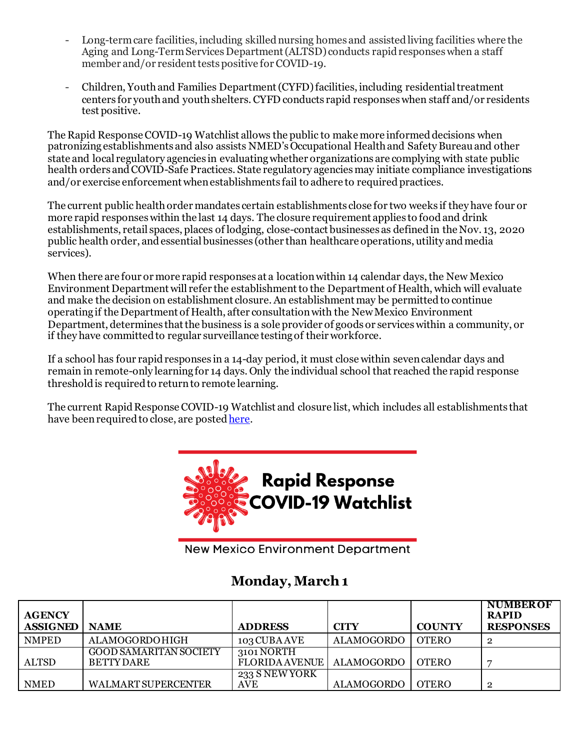- Long-term care facilities, including skilled nursing homes and assisted living facilities where the Aging and Long-Term Services Department (ALTSD) conducts rapid responses when a staff member and/or resident tests positive for COVID-19.
- Children, Youth and Families Department (CYFD)facilities, including residential treatment centers for youth and youth shelters.CYFD conducts rapid responses when staff and/or residents test positive.

The Rapid Response COVID-19 Watchlist allows the public to make more informed decisions when patronizing establishments and also assists NMED's Occupational Health and Safety Bureauand other state and local regulatory agencies in evaluating whether organizations are complying with state public health orders and COVID-Safe Practices. State regulatory agencies may initiate compliance investigations and/or exercise enforcement when establishments fail to adhere to required practices.

The current public health order mandates certain establishments close for two weeks if they have four or more rapid responses within the last 14 days. The closure requirement applies to food and drink establishments, retail spaces, places of lodging, close-contact businesses as defined in the Nov. 13, 2020 public health order, and essential businesses (other than healthcare operations, utility and media services).

When there are four or more rapid responses at a location within 14 calendar days, the New Mexico Environment Department will refer the establishment to the Department of Health, which will evaluate and make the decision on establishment closure. An establishment may be permitted to continue operating if the Department of Health, after consultation with the New Mexico Environment Department, determines that the business is a sole provider of goods or services within a community, or if they have committed to regular surveillance testing of their workforce.

If a school has four rapid responses in a 14-day period, it must close within seven calendar days and remain in remote-only learning for 14 days. Only the individual school that reached the rapid response threshold is required to return to remote learning.

The current Rapid Response COVID-19 Watchlist and closure list, which includes all establishments that have been required to close, are poste[d here.](https://www.env.nm.gov/rapid-response-data/)



**New Mexico Environment Department** 

## **Monday, March 1**

| <b>AGENCY</b><br><b>ASSIGNED</b> | <b>NAME</b>                                 | <b>ADDRESS</b>                                    | <b>CITY</b>        | <b>COUNTY</b> | <b>NUMBER OF</b><br><b>RAPID</b><br><b>RESPONSES</b> |
|----------------------------------|---------------------------------------------|---------------------------------------------------|--------------------|---------------|------------------------------------------------------|
| <b>NMPED</b>                     | <b>ALAMOGORDOHIGH</b>                       | 103 CUBA AVE                                      | ALAMOGORDO   OTERO |               |                                                      |
| <b>ALTSD</b>                     | GOOD SAMARITAN SOCIETY<br><b>BETTY DARE</b> | 3101 NORTH<br>FLORIDA AVENUE   ALAMOGORDO   OTERO |                    |               |                                                      |
| <b>NMED</b>                      | <b>WALMART SUPERCENTER</b>                  | 233 S NEW YORK<br>AVE                             | ALAMOGORDO         | <b>OTERO</b>  |                                                      |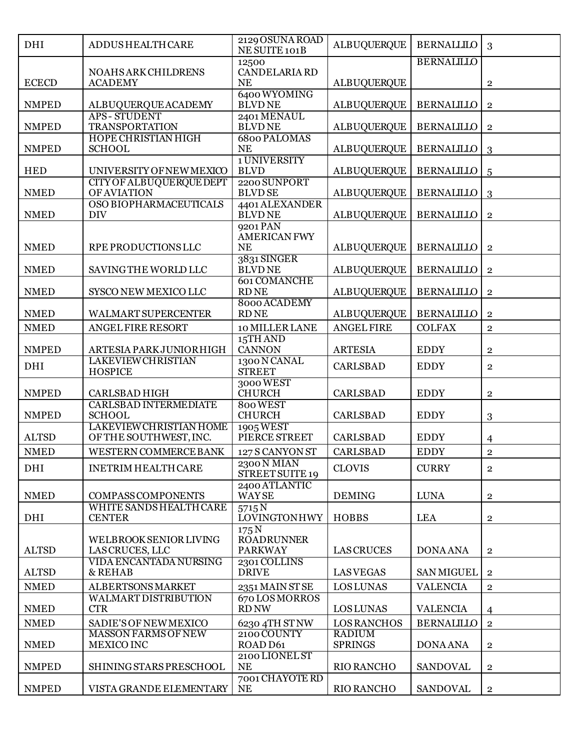| DHI          | <b>ADDUS HEALTH CARE</b>                             | 2129 OSUNA ROAD<br>NE SUITE 101B     | <b>ALBUQUERQUE</b> | <b>BERNALLILO</b> | 3                       |
|--------------|------------------------------------------------------|--------------------------------------|--------------------|-------------------|-------------------------|
|              |                                                      | 12500                                |                    | <b>BERNALILLO</b> |                         |
|              | <b>NOAHS ARK CHILDRENS</b>                           | CANDELARIA RD                        |                    |                   |                         |
| <b>ECECD</b> | <b>ACADEMY</b>                                       | <b>NE</b><br>6400 WYOMING            | <b>ALBUQUERQUE</b> |                   | $\overline{2}$          |
| <b>NMPED</b> | ALBUQUERQUEACADEMY                                   | <b>BLVDNE</b>                        | <b>ALBUQUERQUE</b> | <b>BERNALILLO</b> | $\overline{2}$          |
|              | <b>APS-STUDENT</b>                                   | 2401 MENAUL                          |                    |                   |                         |
| <b>NMPED</b> | <b>TRANSPORTATION</b><br><b>HOPE CHRISTIAN HIGH</b>  | <b>BLVDNE</b><br><b>6800 PALOMAS</b> | <b>ALBUQUERQUE</b> | <b>BERNALILLO</b> | $\overline{2}$          |
| <b>NMPED</b> | <b>SCHOOL</b>                                        | <b>NE</b>                            | <b>ALBUQUERQUE</b> | <b>BERNALILLO</b> | 3                       |
|              |                                                      | 1 UNIVERSITY                         |                    |                   |                         |
| <b>HED</b>   | UNIVERSITY OF NEW MEXICO                             | <b>BLVD</b>                          | <b>ALBUQUERQUE</b> | <b>BERNALILLO</b> | 5                       |
| <b>NMED</b>  | CITY OF ALBUQUERQUE DEPT<br><b>OF AVIATION</b>       | 2200 SUNPORT<br><b>BLVD SE</b>       | <b>ALBUQUERQUE</b> | <b>BERNALILLO</b> | 3                       |
|              | OSO BIOPHARMACEUTICALS                               | 4401 ALEXANDER                       |                    |                   |                         |
| <b>NMED</b>  | <b>DIV</b>                                           | <b>BLVDNE</b>                        | <b>ALBUQUERQUE</b> | <b>BERNALILLO</b> | $\overline{2}$          |
|              |                                                      | 9201 PAN<br><b>AMERICAN FWY</b>      |                    |                   |                         |
| <b>NMED</b>  | RPE PRODUCTIONS LLC                                  | <b>NE</b>                            | <b>ALBUQUERQUE</b> | <b>BERNALILLO</b> | $\overline{2}$          |
|              |                                                      | 3831 SINGER                          |                    |                   |                         |
| <b>NMED</b>  | SAVING THE WORLD LLC                                 | <b>BLVDNE</b>                        | <b>ALBUQUERQUE</b> | <b>BERNALILLO</b> | $\bf 2$                 |
| <b>NMED</b>  | SYSCO NEW MEXICO LLC                                 | <b>601 COMANCHE</b><br><b>RDNE</b>   | <b>ALBUQUERQUE</b> | <b>BERNALILLO</b> | $\overline{2}$          |
|              |                                                      | 8000 ACADEMY                         |                    |                   |                         |
| <b>NMED</b>  | <b>WALMART SUPERCENTER</b>                           | <b>RDNE</b>                          | <b>ALBUQUERQUE</b> | <b>BERNALILLO</b> | $\mathbf{2}$            |
| <b>NMED</b>  | ANGEL FIRE RESORT                                    | 10 MILLER LANE                       | <b>ANGEL FIRE</b>  | <b>COLFAX</b>     | $\overline{2}$          |
|              |                                                      | 15TH AND                             |                    |                   |                         |
| <b>NMPED</b> | ARTESIA PARKJUNIORHIGH<br><b>LAKEVIEW CHRISTIAN</b>  | <b>CANNON</b><br>1300 N CANAL        | <b>ARTESIA</b>     | <b>EDDY</b>       | $\bf 2$                 |
| <b>DHI</b>   | <b>HOSPICE</b>                                       | <b>STREET</b>                        | <b>CARLSBAD</b>    | <b>EDDY</b>       | $\overline{2}$          |
|              |                                                      | 3000 WEST                            |                    |                   |                         |
| <b>NMPED</b> | <b>CARLSBAD HIGH</b><br><b>CARLSBAD INTERMEDIATE</b> | <b>CHURCH</b><br>800 WEST            | <b>CARLSBAD</b>    | <b>EDDY</b>       | $\mathbf{2}$            |
| <b>NMPED</b> | <b>SCHOOL</b>                                        | <b>CHURCH</b>                        | <b>CARLSBAD</b>    | <b>EDDY</b>       | 3                       |
|              | <b>LAKEVIEW CHRISTIAN HOME</b>                       | 1905 WEST                            |                    |                   |                         |
| <b>ALTSD</b> | OF THE SOUTHWEST, INC.                               | PIERCE STREET                        | <b>CARLSBAD</b>    | <b>EDDY</b>       | $\overline{4}$          |
| <b>NMED</b>  | WESTERN COMMERCE BANK                                | 127 S CANYON ST                      | <b>CARLSBAD</b>    | <b>EDDY</b>       | $\overline{2}$          |
| DHI          | <b>INETRIM HEALTH CARE</b>                           | 2300 N MIAN<br>STREET SUITE 19       | <b>CLOVIS</b>      | <b>CURRY</b>      | $\overline{2}$          |
|              |                                                      | 2400 ATLANTIC                        |                    |                   |                         |
| <b>NMED</b>  | <b>COMPASS COMPONENTS</b>                            | <b>WAYSE</b>                         | <b>DEMING</b>      | <b>LUNA</b>       | $\overline{2}$          |
| DHI          | WHITE SANDS HEALTH CARE<br><b>CENTER</b>             | 5715N<br><b>LOVINGTONHWY</b>         | HOBBS              | <b>LEA</b>        |                         |
|              |                                                      | 175 <sub>N</sub>                     |                    |                   | $\overline{\mathbf{2}}$ |
|              | WELBROOK SENIOR LIVING                               | <b>ROADRUNNER</b>                    |                    |                   |                         |
| <b>ALTSD</b> | LAS CRUCES, LLC                                      | <b>PARKWAY</b>                       | <b>LAS CRUCES</b>  | <b>DONA ANA</b>   | $\overline{2}$          |
| <b>ALTSD</b> | VIDA ENCANTADA NURSING<br>& REHAB                    | 2301 COLLINS<br><b>DRIVE</b>         | <b>LASVEGAS</b>    | <b>SAN MIGUEL</b> | $\overline{2}$          |
| <b>NMED</b>  | ALBERTSONS MARKET                                    | 2351 MAIN ST SE                      | <b>LOS LUNAS</b>   | <b>VALENCIA</b>   | $\overline{2}$          |
|              | <b>WALMART DISTRIBUTION</b>                          | 670 LOS MORROS                       |                    |                   |                         |
| <b>NMED</b>  | <b>CTR</b>                                           | <b>RD NW</b>                         | <b>LOS LUNAS</b>   | <b>VALENCIA</b>   | $\overline{4}$          |
| <b>NMED</b>  | SADIE'S OF NEW MEXICO                                | 6230 4TH ST NW                       | <b>LOS RANCHOS</b> | <b>BERNALILLO</b> | $\overline{2}$          |
|              | <b>MASSON FARMS OF NEW</b>                           | 2100 COUNTY                          | <b>RADIUM</b>      |                   |                         |
| <b>NMED</b>  | MEXICO INC                                           | ROAD D61<br>2100 LIONEL ST           | <b>SPRINGS</b>     | <b>DONA ANA</b>   | $\mathbf{2}$            |
| <b>NMPED</b> | SHINING STARS PRESCHOOL                              | <b>NE</b>                            | <b>RIO RANCHO</b>  | <b>SANDOVAL</b>   | $\overline{2}$          |
|              |                                                      | 7001 CHAYOTE RD                      |                    |                   |                         |
| <b>NMPED</b> | VISTA GRANDE ELEMENTARY                              | <b>NE</b>                            | <b>RIO RANCHO</b>  | <b>SANDOVAL</b>   | $\overline{2}$          |